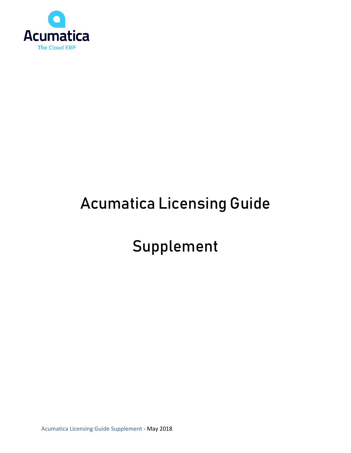

# Acumatica Licensing Guide

# Supplement

Acumatica Licensing Guide Supplement - May 2018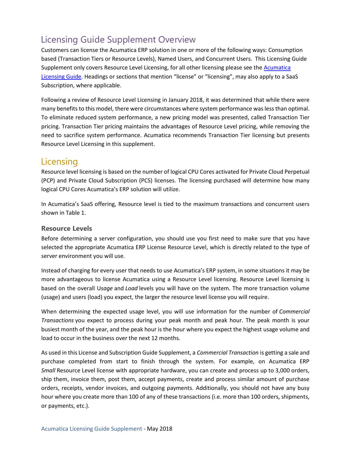# Licensing Guide Supplement Overview

Customers can license the Acumatica ERP solution in one or more of the following ways: Consumption based (Transaction Tiers or Resource Levels), Named Users, and Concurrent Users. This Licensing Guide Supplement only covers Resource Level Licensing, for all other licensing please see the [Acumatica](https://www.acumatica.com/agreements)  [Licensing Guide.](https://www.acumatica.com/agreements) Headings or sections that mention "license" or "licensing", may also apply to a SaaS Subscription, where applicable.

Following a review of Resource Level Licensing in January 2018, it was determined that while there were many benefits to this model, there were circumstances where system performance was less than optimal. To eliminate reduced system performance, a new pricing model was presented, called Transaction Tier pricing. Transaction Tier pricing maintains the advantages of Resource Level pricing, while removing the need to sacrifice system performance. Acumatica recommends Transaction Tier licensing but presents Resource Level Licensing in this supplement.

# **Licensing**

Resource level licensing is based on the number of logical CPU Cores activated for Private Cloud Perpetual (PCP) and Private Cloud Subscription (PCS) licenses. The licensing purchased will determine how many logical CPU Cores Acumatica's ERP solution will utilize.

In Acumatica's SaaS offering, Resource level is tied to the maximum transactions and concurrent users shown in Table 1.

## **Resource Levels**

Before determining a server configuration, you should use you first need to make sure that you have selected the appropriate Acumatica ERP License Resource Level, which is directly related to the type of server environment you will use.

Instead of charging for every user that needs to use Acumatica's ERP system, in some situations it may be more advantageous to license Acumatica using a Resource Level licensing. Resource Level licensing is based on the overall U*sage* and *Load* levels you will have on the system. The more transaction volume (usage) and users (load) you expect, the larger the resource level license you will require.

When determining the expected usage level, you will use information for the number of *Commercial Transactions* you expect to process during your peak month and peak hour. The peak month is your busiest month of the year, and the peak hour is the hour where you expect the highest usage volume and load to occur in the business over the next 12 months.

As used in this License and Subscription Guide Supplement, a *Commercial Transaction* is getting a sale and purchase completed from start to finish through the system. For example, on Acumatica ERP *Small* Resource Level license with appropriate hardware, you can create and process up to 3,000 orders, ship them, invoice them, post them, accept payments, create and process similar amount of purchase orders, receipts, vendor invoices, and outgoing payments. Additionally, you should not have any busy hour where you create more than 100 of any of these transactions (i.e. more than 100 orders, shipments, or payments, etc.).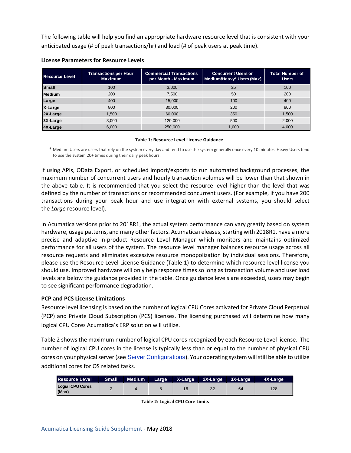The following table will help you find an appropriate hardware resource level that is consistent with your anticipated usage (# of peak transactions/hr) and load (# of peak users at peak time).

| <b>Resource Level</b> | <b>Transactions per Hour</b><br><b>Maximum</b> | <b>Commercial Transactions</b><br>per Month - Maximum | <b>Concurrent Users or</b><br>Medium/Heavy* Users (Max) | <b>Total Number of</b><br><b>Users</b> |
|-----------------------|------------------------------------------------|-------------------------------------------------------|---------------------------------------------------------|----------------------------------------|
| <b>Small</b>          | 100                                            | 3,000                                                 | 25                                                      | 100                                    |
| Medium                | 200                                            | 7,500                                                 | 50                                                      | 200                                    |
| Large                 | 400                                            | 15,000                                                | 100                                                     | 400                                    |
| X-Large               | 800                                            | 30,000                                                | 200                                                     | 800                                    |
| 2X-Large              | 1.500                                          | 60,000                                                | 350                                                     | 1,500                                  |
| $3X-Large$            | 3.000                                          | 120,000                                               | 500                                                     | 2.000                                  |
| $AX-Large$            | 6.000                                          | 250,000                                               | 1.000                                                   | 4,000                                  |

### **License Parameters for Resource Levels**

#### **Table 1: Resource Level License Guidance**

\* Medium Users are users that rely on the system every day and tend to use the system generally once every 10 minutes. Heavy Users tend to use the system 20+ times during their daily peak hours.

If using APIs, OData Export, or scheduled import/exports to run automated background processes, the maximum number of concurrent users and hourly transaction volumes will be lower than that shown in the above table. It is recommended that you select the resource level higher than the level that was defined by the number of transactions or recommended concurrent users. (For example, if you have 200 transactions during your peak hour and use integration with external systems, you should select the *Large* resource level).

In Acumatica versions prior to 2018R1, the actual system performance can vary greatly based on system hardware, usage patterns, and many other factors. Acumatica releases, starting with 2018R1, have a more precise and adaptive in-product Resource Level Manager which monitors and maintains optimized performance for all users of the system. The resource level manager balances resource usage across all resource requests and eliminates excessive resource monopolization by individual sessions. Therefore, please use the Resource Level License Guidance (Table 1) to determine which resource level license you should use. Improved hardware will only help response times so long as transaction volume and user load levels are below the guidance provided in the table. Once guidance levels are exceeded, users may begin to see significant performance degradation.

## **PCP and PCS License Limitations**

Resource level licensing is based on the number of logical CPU Cores activated for Private Cloud Perpetual (PCP) and Private Cloud Subscription (PCS) licenses. The licensing purchased will determine how many logical CPU Cores Acumatica's ERP solution will utilize.

Table 2 shows the maximum number of logical CPU cores recognized by each Resource Level license. The number of logical CPU cores in the license is typically less than or equal to the number of physical CPU cores on your physical server(see [Server Configurations](https://help-2019r1.acumatica.com/(W(1))/Help?ScreenId=ShowWiki&pageid=54ef574c-0adf-48a0-b5be-d3438a6e5400)). Your operating system will still be able to utilize additional cores for OS related tasks.

| <b>Resource Level</b>            | Small | Medium |    | Large X-Large 2X-Large 3X-Large |    | 4X-Large |
|----------------------------------|-------|--------|----|---------------------------------|----|----------|
| <b>Logial CPU Cores</b><br>(Max) |       |        | 16 | 32                              | 64 | 128      |

**Table 2: Logical CPU Core Limits**